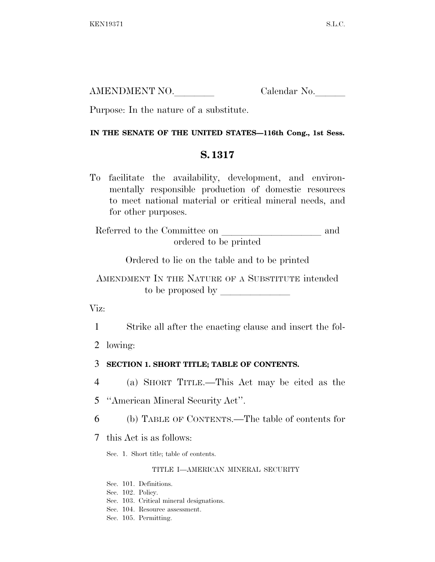| AMENDMENT NO. | Calendar No. |
|---------------|--------------|
|               |              |

Purpose: In the nature of a substitute.

# **IN THE SENATE OF THE UNITED STATES—116th Cong., 1st Sess.**

# **S. 1317**

To facilitate the availability, development, and environmentally responsible production of domestic resources to meet national material or critical mineral needs, and for other purposes.

Referred to the Committee on and ordered to be printed

Ordered to lie on the table and to be printed

AMENDMENT IN THE NATURE OF A SUBSTITUTE intended to be proposed by lllllll

Viz:

1 Strike all after the enacting clause and insert the fol-

2 lowing:

3 **SECTION 1. SHORT TITLE; TABLE OF CONTENTS.** 

4 (a) SHORT TITLE.—This Act may be cited as the

5 ''American Mineral Security Act''.

6 (b) TABLE OF CONTENTS.—The table of contents for

7 this Act is as follows:

Sec. 1. Short title; table of contents.

### TITLE I—AMERICAN MINERAL SECURITY

Sec. 101. Definitions.

Sec. 102. Policy.

- Sec. 103. Critical mineral designations.
- Sec. 104. Resource assessment.
- Sec. 105. Permitting.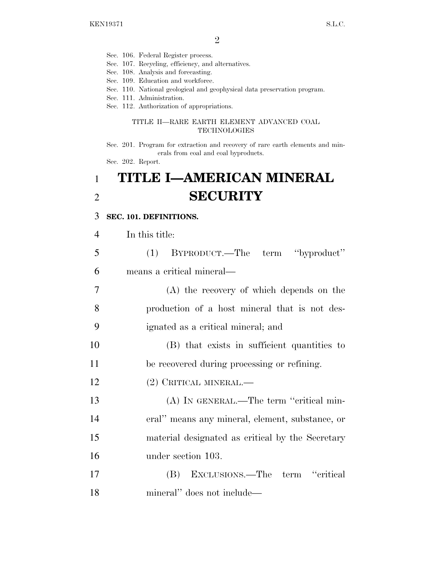- Sec. 106. Federal Register process.
- Sec. 107. Recycling, efficiency, and alternatives.
- Sec. 108. Analysis and forecasting.
- Sec. 109. Education and workforce.
- Sec. 110. National geological and geophysical data preservation program.
- Sec. 111. Administration.
- Sec. 112. Authorization of appropriations.

#### TITLE II—RARE EARTH ELEMENT ADVANCED COAL TECHNOLOGIES

Sec. 201. Program for extraction and recovery of rare earth elements and minerals from coal and coal byproducts.

Sec. 202. Report.

# 1 **TITLE I—AMERICAN MINERAL**  2 **SECURITY**

#### 3 **SEC. 101. DEFINITIONS.**

| 4  | In this title:                                   |
|----|--------------------------------------------------|
| 5  | (1) BYPRODUCT.—The term "byproduct"              |
| 6  | means a critical mineral—                        |
| 7  | (A) the recovery of which depends on the         |
| 8  | production of a host mineral that is not des-    |
| 9  | ignated as a critical mineral; and               |
| 10 | (B) that exists in sufficient quantities to      |
| 11 | be recovered during processing or refining.      |
| 12 | (2) CRITICAL MINERAL.—                           |
| 13 | (A) IN GENERAL.—The term "critical min-          |
| 14 | eral" means any mineral, element, substance, or  |
| 15 | material designated as critical by the Secretary |
| 16 | under section 103.                               |
| 17 | (B) EXCLUSIONS.—The term "critical               |
| 18 | mineral" does not include—                       |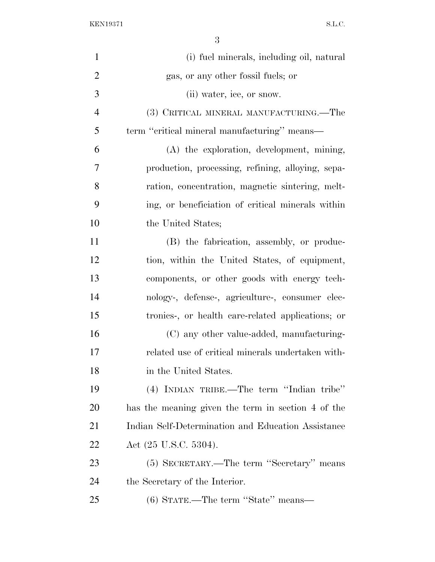| $\mathbf{1}$   | (i) fuel minerals, including oil, natural          |
|----------------|----------------------------------------------------|
| $\overline{2}$ | gas, or any other fossil fuels; or                 |
| 3              | (ii) water, ice, or snow.                          |
| $\overline{4}$ | (3) CRITICAL MINERAL MANUFACTURING.—The            |
| 5              | term "critical mineral manufacturing" means—       |
| 6              | (A) the exploration, development, mining,          |
| 7              | production, processing, refining, alloying, sepa-  |
| 8              | ration, concentration, magnetic sintering, melt-   |
| 9              | ing, or beneficiation of critical minerals within  |
| 10             | the United States;                                 |
| 11             | (B) the fabrication, assembly, or produc-          |
| 12             | tion, within the United States, of equipment,      |
| 13             | components, or other goods with energy tech-       |
| 14             | nology-, defense-, agriculture-, consumer elec-    |
| 15             | tronics-, or health care-related applications; or  |
| 16             | (C) any other value-added, manufacturing-          |
| 17             | related use of critical minerals undertaken with-  |
| 18             | in the United States.                              |
| 19             | (4) INDIAN TRIBE.—The term "Indian tribe"          |
| 20             | has the meaning given the term in section 4 of the |
| 21             | Indian Self-Determination and Education Assistance |
| 22             | Act $(25 \text{ U.S.C. } 5304)$ .                  |
| 23             | (5) SECRETARY.—The term "Secretary" means          |
| 24             | the Secretary of the Interior.                     |
| 25             | (6) STATE.—The term "State" means—                 |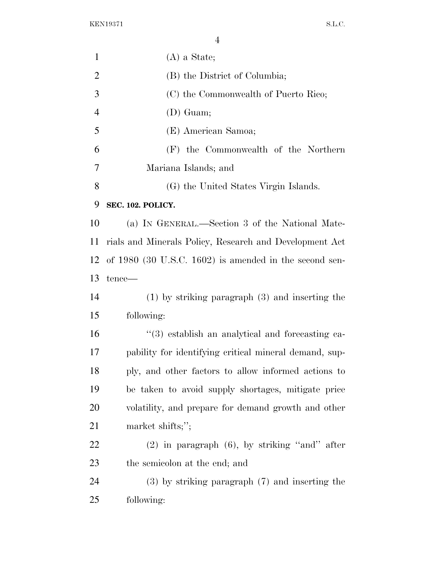| $\mathbf{1}$   | $(A)$ a State;                                               |
|----------------|--------------------------------------------------------------|
| $\overline{2}$ | (B) the District of Columbia;                                |
| 3              | (C) the Commonwealth of Puerto Rico;                         |
| $\overline{4}$ | $(D)$ Guam;                                                  |
| 5              | (E) American Samoa;                                          |
| 6              | (F) the Commonwealth of the Northern                         |
| 7              | Mariana Islands; and                                         |
| 8              | (G) the United States Virgin Islands.                        |
| 9              | SEC. 102. POLICY.                                            |
| 10             | (a) IN GENERAL.—Section 3 of the National Mate-              |
| 11             | rials and Minerals Policy, Research and Development Act      |
| 12             | of $1980$ (30 U.S.C. 1602) is amended in the second sen-     |
| 13             | tence—                                                       |
| 14             | $(1)$ by striking paragraph $(3)$ and inserting the          |
| 15             | following:                                                   |
| 16             | $\cdot\cdot$ (3) establish an analytical and forecasting ca- |
| 17             | pability for identifying critical mineral demand, sup-       |
| 18             | ply, and other factors to allow informed actions to          |
| 19             | be taken to avoid supply shortages, mitigate price           |
| 20             | volatility, and prepare for demand growth and other          |
| 21             | market shifts;";                                             |
| 22             | $(2)$ in paragraph $(6)$ , by striking "and" after           |
| 23             | the semicolon at the end; and                                |
| 24             | $(3)$ by striking paragraph $(7)$ and inserting the          |
| 25             | following:                                                   |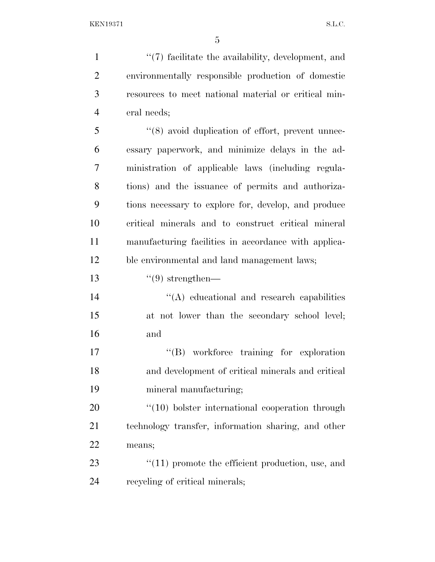1 ''(7) facilitate the availability, development, and environmentally responsible production of domestic resources to meet national material or critical min- eral needs; 5 "(8) avoid duplication of effort, prevent unnec- essary paperwork, and minimize delays in the ad- ministration of applicable laws (including regula- tions) and the issuance of permits and authoriza- tions necessary to explore for, develop, and produce critical minerals and to construct critical mineral manufacturing facilities in accordance with applica- ble environmental and land management laws;  $(9)$  strengthen— 14 ''(A) educational and research capabilities at not lower than the secondary school level; and  $\text{``(B)}$  workforce training for exploration and development of critical minerals and critical mineral manufacturing;  $\frac{4}{10}$  bolster international cooperation through technology transfer, information sharing, and other means;

23  $\frac{1}{2}$  (11) promote the efficient production, use, and recycling of critical minerals;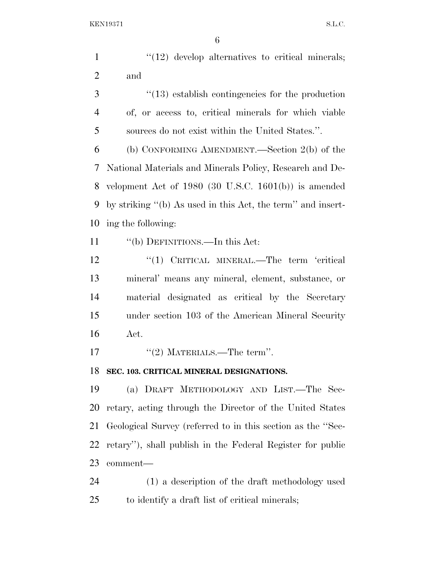1  $\frac{1}{2}$  develop alternatives to critical minerals; and

3 ''(13) establish contingencies for the production of, or access to, critical minerals for which viable sources do not exist within the United States.''.

 (b) CONFORMING AMENDMENT.—Section 2(b) of the National Materials and Minerals Policy, Research and De- velopment Act of 1980 (30 U.S.C. 1601(b)) is amended by striking ''(b) As used in this Act, the term'' and insert-ing the following:

''(b) DEFINITIONS.—In this Act:

12 "(1) CRITICAL MINERAL.—The term 'critical mineral' means any mineral, element, substance, or material designated as critical by the Secretary under section 103 of the American Mineral Security Act.

''(2) MATERIALS.—The term''.

### **SEC. 103. CRITICAL MINERAL DESIGNATIONS.**

 (a) DRAFT METHODOLOGY AND LIST.—The Sec- retary, acting through the Director of the United States Geological Survey (referred to in this section as the ''Sec- retary''), shall publish in the Federal Register for public comment—

 (1) a description of the draft methodology used to identify a draft list of critical minerals;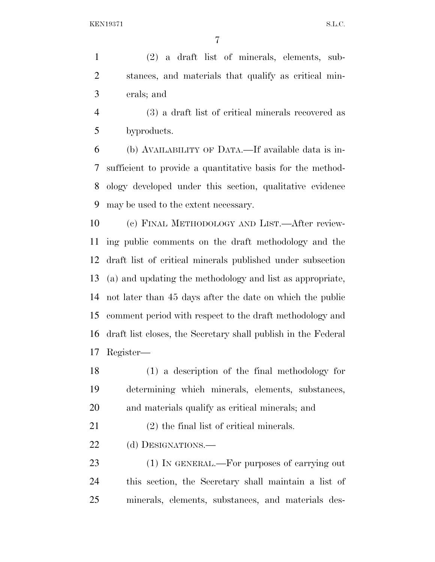(2) a draft list of minerals, elements, sub- stances, and materials that qualify as critical min-erals; and

 (3) a draft list of critical minerals recovered as byproducts.

 (b) AVAILABILITY OF DATA.—If available data is in- sufficient to provide a quantitative basis for the method- ology developed under this section, qualitative evidence may be used to the extent necessary.

 (c) FINAL METHODOLOGY AND LIST.—After review- ing public comments on the draft methodology and the draft list of critical minerals published under subsection (a) and updating the methodology and list as appropriate, not later than 45 days after the date on which the public comment period with respect to the draft methodology and draft list closes, the Secretary shall publish in the Federal Register—

 (1) a description of the final methodology for determining which minerals, elements, substances, and materials qualify as critical minerals; and

(2) the final list of critical minerals.

22 (d) DESIGNATIONS.—

23 (1) IN GENERAL.—For purposes of carrying out this section, the Secretary shall maintain a list of minerals, elements, substances, and materials des-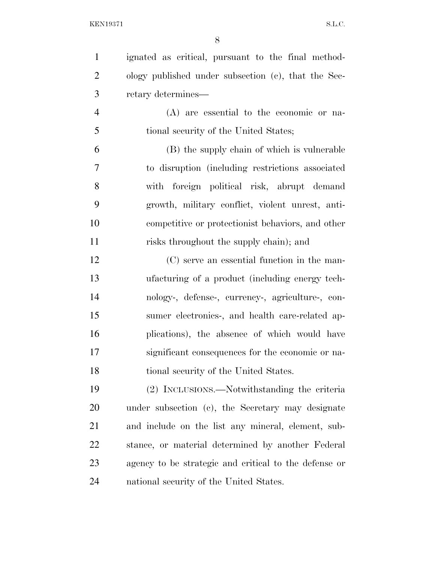| $\mathbf{1}$   | ignated as critical, pursuant to the final method-    |
|----------------|-------------------------------------------------------|
| $\overline{2}$ | ology published under subsection (c), that the Sec-   |
| 3              | retary determines—                                    |
| $\overline{4}$ | $(A)$ are essential to the economic or na-            |
| 5              | tional security of the United States;                 |
| 6              | (B) the supply chain of which is vulnerable           |
| $\overline{7}$ | to disruption (including restrictions associated)     |
| 8              | with foreign political risk, abrupt demand            |
| 9              | growth, military conflict, violent unrest, anti-      |
| 10             | competitive or protectionist behaviors, and other     |
| 11             | risks throughout the supply chain); and               |
| 12             | (C) serve an essential function in the man-           |
| 13             | ufacturing of a product (including energy tech-       |
| 14             | nology-, defense-, currency-, agriculture-, con-      |
| 15             | sumer electronics-, and health care-related ap-       |
| 16             | plications), the absence of which would have          |
| 17             | significant consequences for the economic or na-      |
| 18             | tional security of the United States.                 |
| 19             | (2) INCLUSIONS.—Notwithstanding the criteria          |
| 20             | under subsection (c), the Secretary may designate     |
| 21             | and include on the list any mineral, element, sub-    |
| 22             | stance, or material determined by another Federal     |
| 23             | agency to be strategic and critical to the defense or |
| 24             | national security of the United States.               |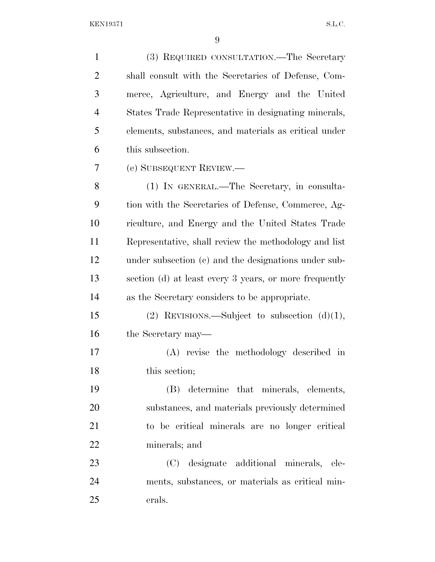| $\mathbf{1}$   | (3) REQUIRED CONSULTATION.—The Secretary               |
|----------------|--------------------------------------------------------|
| $\overline{2}$ | shall consult with the Secretaries of Defense, Com-    |
| 3              | merce, Agriculture, and Energy and the United          |
| $\overline{4}$ | States Trade Representative in designating minerals,   |
| 5              | elements, substances, and materials as critical under  |
| 6              | this subsection.                                       |
| 7              | (e) SUBSEQUENT REVIEW.—                                |
| 8              | (1) IN GENERAL.—The Secretary, in consulta-            |
| 9              | tion with the Secretaries of Defense, Commerce, Ag-    |
| 10             | riculture, and Energy and the United States Trade      |
| 11             | Representative, shall review the methodology and list  |
| 12             | under subsection (c) and the designations under sub-   |
| 13             | section (d) at least every 3 years, or more frequently |
| 14             | as the Secretary considers to be appropriate.          |
| 15             | (2) REVISIONS.—Subject to subsection $(d)(1)$ ,        |
| 16             | the Secretary may—                                     |
| 17             | (A) revise the methodology described in                |
| 18             | this section;                                          |
| 19             | (B) determine that minerals, elements,                 |
| 20             | substances, and materials previously determined        |
| 21             | to be critical minerals are no longer critical         |
| 22             | minerals; and                                          |
| 23             | (C) designate additional minerals, ele-                |
| 24             | ments, substances, or materials as critical min-       |
| 25             | erals.                                                 |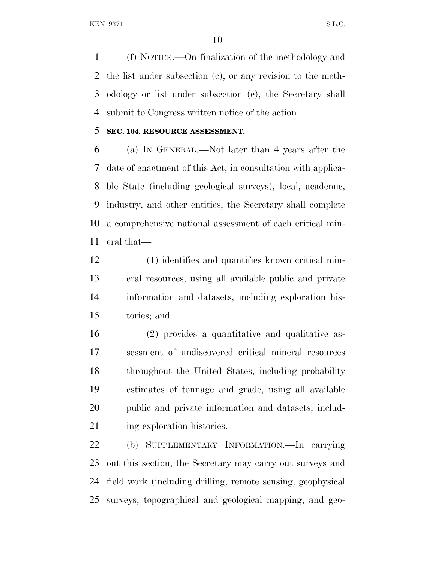(f) NOTICE.—On finalization of the methodology and the list under subsection (c), or any revision to the meth- odology or list under subsection (e), the Secretary shall submit to Congress written notice of the action.

## **SEC. 104. RESOURCE ASSESSMENT.**

 (a) IN GENERAL.—Not later than 4 years after the date of enactment of this Act, in consultation with applica- ble State (including geological surveys), local, academic, industry, and other entities, the Secretary shall complete a comprehensive national assessment of each critical min-eral that—

 (1) identifies and quantifies known critical min- eral resources, using all available public and private information and datasets, including exploration his-tories; and

 (2) provides a quantitative and qualitative as- sessment of undiscovered critical mineral resources throughout the United States, including probability estimates of tonnage and grade, using all available public and private information and datasets, includ-21 ing exploration histories.

 (b) SUPPLEMENTARY INFORMATION.—In carrying out this section, the Secretary may carry out surveys and field work (including drilling, remote sensing, geophysical surveys, topographical and geological mapping, and geo-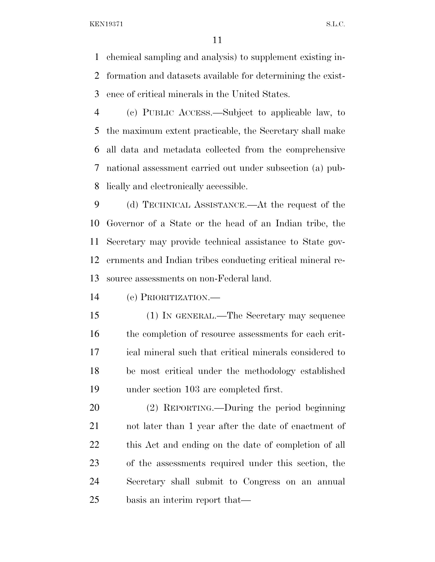chemical sampling and analysis) to supplement existing in- formation and datasets available for determining the exist-ence of critical minerals in the United States.

 (c) PUBLIC ACCESS.—Subject to applicable law, to the maximum extent practicable, the Secretary shall make all data and metadata collected from the comprehensive national assessment carried out under subsection (a) pub-lically and electronically accessible.

 (d) TECHNICAL ASSISTANCE.—At the request of the Governor of a State or the head of an Indian tribe, the Secretary may provide technical assistance to State gov- ernments and Indian tribes conducting critical mineral re-source assessments on non-Federal land.

(e) PRIORITIZATION.—

 (1) IN GENERAL.—The Secretary may sequence 16 the completion of resource assessments for each crit- ical mineral such that critical minerals considered to be most critical under the methodology established under section 103 are completed first.

 (2) REPORTING.—During the period beginning not later than 1 year after the date of enactment of this Act and ending on the date of completion of all of the assessments required under this section, the Secretary shall submit to Congress on an annual basis an interim report that—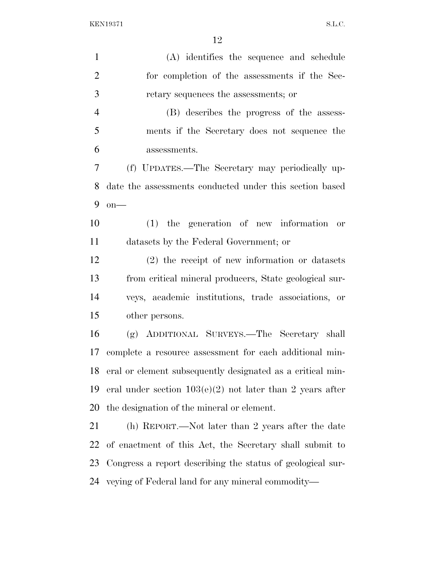| $\mathbf{1}$   | (A) identifies the sequence and schedule                    |
|----------------|-------------------------------------------------------------|
| $\overline{2}$ | for completion of the assessments if the Sec-               |
| 3              | retary sequences the assessments; or                        |
| $\overline{4}$ | (B) describes the progress of the assess-                   |
| 5              | ments if the Secretary does not sequence the                |
| 6              | assessments.                                                |
| 7              | (f) UPDATES.—The Secretary may periodically up-             |
| 8              | date the assessments conducted under this section based     |
| 9              | $on$ —                                                      |
| 10             | $(1)$ the generation of new information<br>or               |
| 11             | datasets by the Federal Government; or                      |
| 12             | $(2)$ the receipt of new information or datasets            |
| 13             | from critical mineral producers, State geological sur-      |
| 14             | veys, academic institutions, trade associations, or         |
| 15             | other persons.                                              |
| 16             | (g) ADDITIONAL SURVEYS.—The Secretary shall                 |
| 17             | complete a resource assessment for each additional min-     |
| 18             | eral or element subsequently designated as a critical min-  |
| 19             | eral under section $103(e)(2)$ not later than 2 years after |
| 20             | the designation of the mineral or element.                  |
| 21             | (h) REPORT.—Not later than 2 years after the date           |
| 22             | of enactment of this Act, the Secretary shall submit to     |
| 23             | Congress a report describing the status of geological sur-  |
| 24             | veying of Federal land for any mineral commodity—           |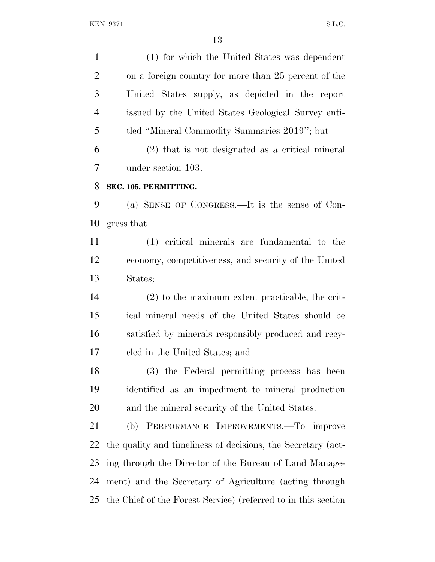(1) for which the United States was dependent on a foreign country for more than 25 percent of the United States supply, as depicted in the report issued by the United States Geological Survey enti- tled ''Mineral Commodity Summaries 2019''; but (2) that is not designated as a critical mineral under section 103. **SEC. 105. PERMITTING.**  (a) SENSE OF CONGRESS.—It is the sense of Con- gress that— (1) critical minerals are fundamental to the economy, competitiveness, and security of the United States; (2) to the maximum extent practicable, the crit- ical mineral needs of the United States should be satisfied by minerals responsibly produced and recy- cled in the United States; and (3) the Federal permitting process has been identified as an impediment to mineral production and the mineral security of the United States. (b) PERFORMANCE IMPROVEMENTS.—To improve the quality and timeliness of decisions, the Secretary (act- ing through the Director of the Bureau of Land Manage- ment) and the Secretary of Agriculture (acting through the Chief of the Forest Service) (referred to in this section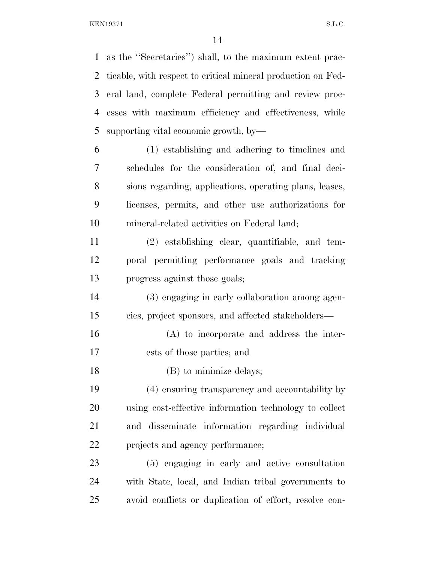as the ''Secretaries'') shall, to the maximum extent prac- ticable, with respect to critical mineral production on Fed- eral land, complete Federal permitting and review proc- esses with maximum efficiency and effectiveness, while supporting vital economic growth, by—

 (1) establishing and adhering to timelines and schedules for the consideration of, and final deci- sions regarding, applications, operating plans, leases, licenses, permits, and other use authorizations for mineral-related activities on Federal land;

 (2) establishing clear, quantifiable, and tem- poral permitting performance goals and tracking progress against those goals;

 (3) engaging in early collaboration among agen-cies, project sponsors, and affected stakeholders—

 (A) to incorporate and address the inter-ests of those parties; and

18 (B) to minimize delays;

 (4) ensuring transparency and accountability by using cost-effective information technology to collect and disseminate information regarding individual projects and agency performance;

 (5) engaging in early and active consultation with State, local, and Indian tribal governments to avoid conflicts or duplication of effort, resolve con-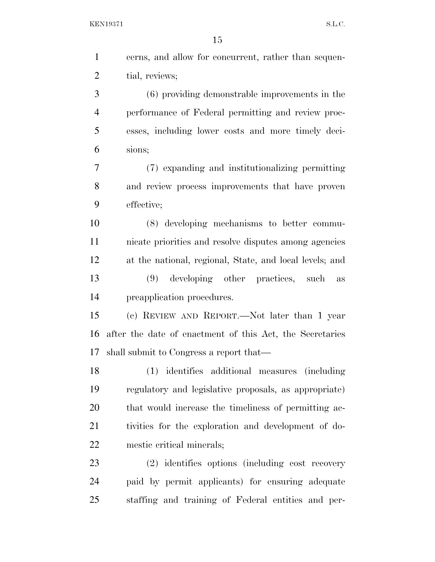| cerns, and allow for concurrent, rather than sequen-     |
|----------------------------------------------------------|
| tial, reviews;                                           |
| (6) providing demonstrable improvements in the           |
| performance of Federal permitting and review proc-       |
| esses, including lower costs and more timely deci-       |
| sions;                                                   |
| (7) expanding and institutionalizing permitting          |
| and review process improvements that have proven         |
| effective;                                               |
| (8) developing mechanisms to better commu-               |
| nicate priorities and resolve disputes among agencies    |
| at the national, regional, State, and local levels; and  |
| (9) developing other practices, such as                  |
| preapplication procedures.                               |
| (c) REVIEW AND REPORT.—Not later than 1 year             |
| after the date of enactment of this Act, the Secretaries |
|                                                          |
| shall submit to Congress a report that—                  |
| (1) identifies additional measures (including            |
| regulatory and legislative proposals, as appropriate)    |
| that would increase the timeliness of permitting ac-     |
| tivities for the exploration and development of do-      |
| mestic critical minerals;                                |
| (2) identifies options (including cost recovery          |
| paid by permit applicants) for ensuring adequate         |
|                                                          |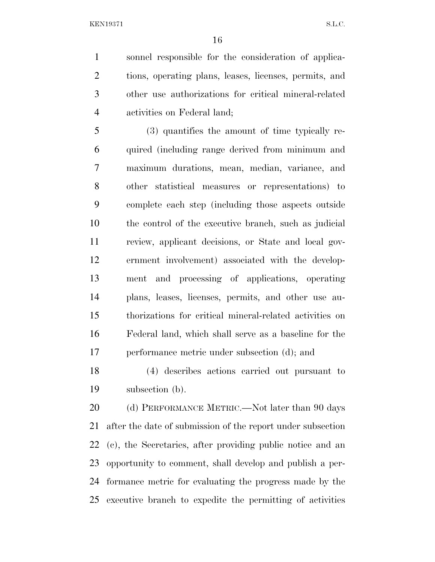sonnel responsible for the consideration of applica- tions, operating plans, leases, licenses, permits, and other use authorizations for critical mineral-related activities on Federal land;

 (3) quantifies the amount of time typically re- quired (including range derived from minimum and maximum durations, mean, median, variance, and other statistical measures or representations) to complete each step (including those aspects outside the control of the executive branch, such as judicial review, applicant decisions, or State and local gov- ernment involvement) associated with the develop- ment and processing of applications, operating plans, leases, licenses, permits, and other use au- thorizations for critical mineral-related activities on Federal land, which shall serve as a baseline for the performance metric under subsection (d); and

 (4) describes actions carried out pursuant to subsection (b).

20 (d) PERFORMANCE METRIC.—Not later than 90 days after the date of submission of the report under subsection (c), the Secretaries, after providing public notice and an opportunity to comment, shall develop and publish a per- formance metric for evaluating the progress made by the executive branch to expedite the permitting of activities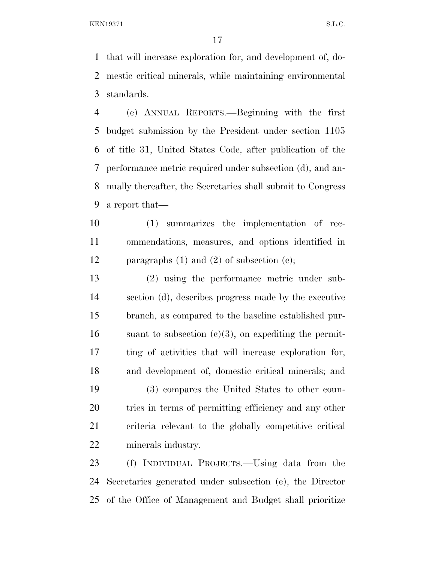that will increase exploration for, and development of, do- mestic critical minerals, while maintaining environmental standards.

 (e) ANNUAL REPORTS.—Beginning with the first budget submission by the President under section 1105 of title 31, United States Code, after publication of the performance metric required under subsection (d), and an- nually thereafter, the Secretaries shall submit to Congress a report that—

 (1) summarizes the implementation of rec- ommendations, measures, and options identified in paragraphs (1) and (2) of subsection (c);

 (2) using the performance metric under sub- section (d), describes progress made by the executive branch, as compared to the baseline established pur-16 suant to subsection  $(c)(3)$ , on expediting the permit- ting of activities that will increase exploration for, and development of, domestic critical minerals; and (3) compares the United States to other coun- tries in terms of permitting efficiency and any other criteria relevant to the globally competitive critical minerals industry.

 (f) INDIVIDUAL PROJECTS.—Using data from the Secretaries generated under subsection (e), the Director of the Office of Management and Budget shall prioritize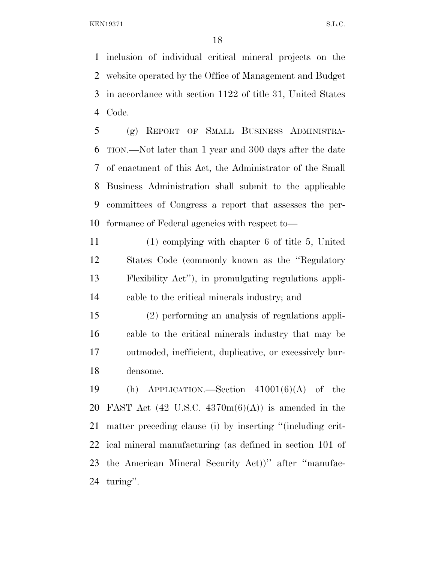inclusion of individual critical mineral projects on the website operated by the Office of Management and Budget in accordance with section 1122 of title 31, United States Code.

 (g) REPORT OF SMALL BUSINESS ADMINISTRA- TION.—Not later than 1 year and 300 days after the date of enactment of this Act, the Administrator of the Small Business Administration shall submit to the applicable committees of Congress a report that assesses the per-formance of Federal agencies with respect to—

 (1) complying with chapter 6 of title 5, United States Code (commonly known as the ''Regulatory Flexibility Act''), in promulgating regulations appli-cable to the critical minerals industry; and

 (2) performing an analysis of regulations appli- cable to the critical minerals industry that may be outmoded, inefficient, duplicative, or excessively bur-densome.

19 (h) APPLICATION.—Section  $41001(6)(A)$  of the 20 FAST Act  $(42 \text{ U.S.C. } 4370 \text{m}(6)(\text{A}))$  is amended in the matter preceding clause (i) by inserting ''(including crit- ical mineral manufacturing (as defined in section 101 of the American Mineral Security Act))'' after ''manufac-turing''.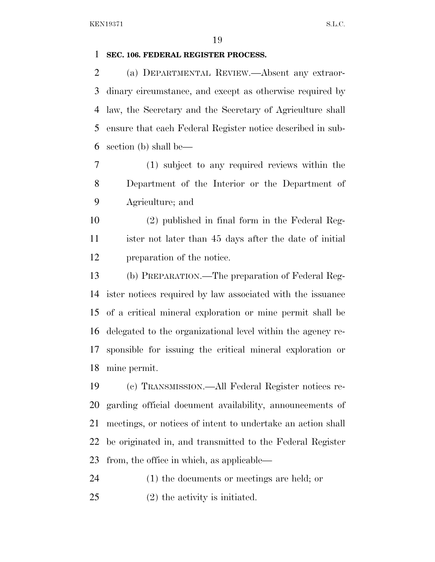#### **SEC. 106. FEDERAL REGISTER PROCESS.**

 (a) DEPARTMENTAL REVIEW.—Absent any extraor- dinary circumstance, and except as otherwise required by law, the Secretary and the Secretary of Agriculture shall ensure that each Federal Register notice described in sub-section (b) shall be—

 (1) subject to any required reviews within the Department of the Interior or the Department of Agriculture; and

 (2) published in final form in the Federal Reg- ister not later than 45 days after the date of initial preparation of the notice.

 (b) PREPARATION.—The preparation of Federal Reg- ister notices required by law associated with the issuance of a critical mineral exploration or mine permit shall be delegated to the organizational level within the agency re- sponsible for issuing the critical mineral exploration or mine permit.

 (c) TRANSMISSION.—All Federal Register notices re- garding official document availability, announcements of meetings, or notices of intent to undertake an action shall be originated in, and transmitted to the Federal Register from, the office in which, as applicable—

(1) the documents or meetings are held; or

(2) the activity is initiated.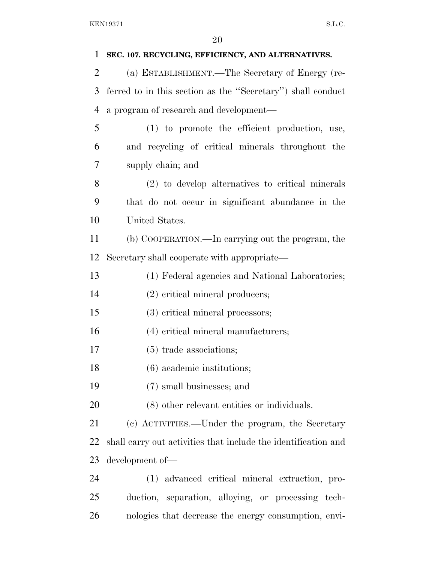| 1              | SEC. 107. RECYCLING, EFFICIENCY, AND ALTERNATIVES.             |
|----------------|----------------------------------------------------------------|
| 2              | (a) ESTABLISHMENT.—The Secretary of Energy (re-                |
| 3              | ferred to in this section as the "Secretary") shall conduct    |
| $\overline{4}$ | a program of research and development—                         |
| 5              | (1) to promote the efficient production, use,                  |
| 6              | and recycling of critical minerals throughout the              |
| 7              | supply chain; and                                              |
| 8              | (2) to develop alternatives to critical minerals               |
| 9              | that do not occur in significant abundance in the              |
| 10             | United States.                                                 |
| 11             | (b) COOPERATION.—In carrying out the program, the              |
| 12             | Secretary shall cooperate with appropriate—                    |
| 13             | (1) Federal agencies and National Laboratories;                |
| 14             | (2) critical mineral producers;                                |
| 15             | (3) critical mineral processors;                               |
| 16             | (4) critical mineral manufacturers;                            |
| 17             | $(5)$ trade associations;                                      |
| 18             | $(6)$ academic institutions;                                   |
| 19             | (7) small businesses; and                                      |
| 20             | $(8)$ other relevant entities or individuals.                  |
| 21             | (c) ACTIVITIES.—Under the program, the Secretary               |
| 22             | shall carry out activities that include the identification and |
| 23             | development of-                                                |
| 24             | (1) advanced critical mineral extraction, pro-                 |
| 25             | duction, separation, alloying, or processing tech-             |
| 26             | nologies that decrease the energy consumption, envi-           |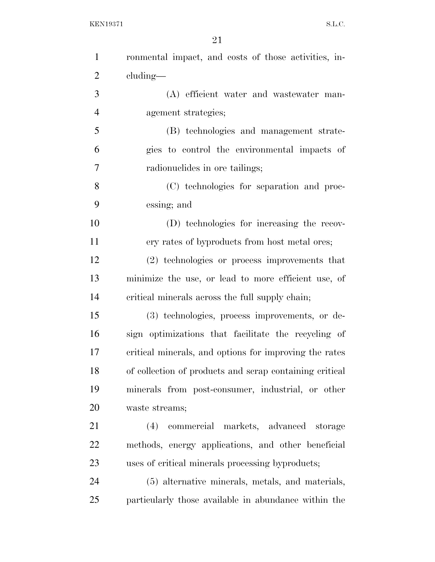| $\mathbf{1}$   | ronmental impact, and costs of those activities, in-    |
|----------------|---------------------------------------------------------|
| $\overline{2}$ | cluding—                                                |
| 3              | (A) efficient water and wastewater man-                 |
| $\overline{4}$ | agement strategies;                                     |
| 5              | (B) technologies and management strate-                 |
| 6              | gies to control the environmental impacts of            |
| $\tau$         | radionuclides in ore tailings;                          |
| 8              | (C) technologies for separation and proc-               |
| 9              | essing; and                                             |
| 10             | (D) technologies for increasing the recov-              |
| 11             | ery rates of byproducts from host metal ores;           |
| 12             | (2) technologies or process improvements that           |
| 13             | minimize the use, or lead to more efficient use, of     |
| 14             | critical minerals across the full supply chain;         |
| 15             | (3) technologies, process improvements, or de-          |
| 16             | sign optimizations that facilitate the recycling of     |
| 17             | critical minerals, and options for improving the rates  |
| 18             | of collection of products and scrap containing critical |
| 19             | minerals from post-consumer, industrial, or other       |
| 20             | waste streams;                                          |
| 21             | commercial markets, advanced storage<br>(4)             |
| 22             | methods, energy applications, and other beneficial      |
| 23             | uses of critical minerals processing byproducts;        |
| 24             | (5) alternative minerals, metals, and materials,        |
| 25             | particularly those available in abundance within the    |
|                |                                                         |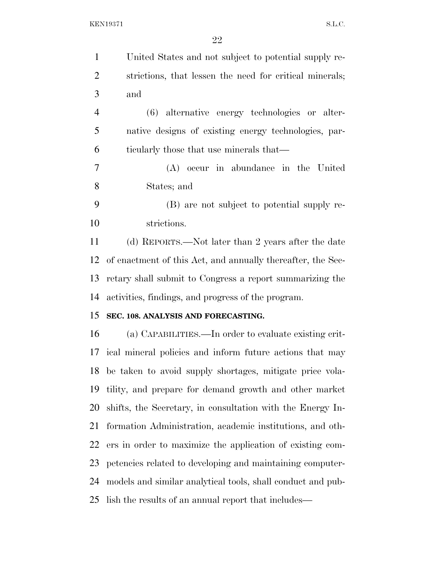| $\mathbf{1}$   | United States and not subject to potential supply re-       |
|----------------|-------------------------------------------------------------|
| $\overline{2}$ | strictions, that lessen the need for critical minerals;     |
| 3              | and                                                         |
| $\overline{4}$ | (6) alternative energy technologies or alter-               |
| 5              | native designs of existing energy technologies, par-        |
| 6              | ticularly those that use minerals that—                     |
| 7              | (A) occur in abundance in the United                        |
| 8              | States; and                                                 |
| 9              | (B) are not subject to potential supply re-                 |
| 10             | strictions.                                                 |
| 11             | (d) REPORTS.—Not later than 2 years after the date          |
| 12             | of enactment of this Act, and annually thereafter, the Sec- |
| 13             | retary shall submit to Congress a report summarizing the    |
| 14             | activities, findings, and progress of the program.          |
| 15             | SEC. 108. ANALYSIS AND FORECASTING.                         |
| 16             | (a) CAPABILITIES.—In order to evaluate existing crit-       |
|                | 17 ical mineral policies and inform future actions that may |
|                | 18 be taken to avoid supply shortages, mitigate price vola- |
| 19             | tility, and prepare for demand growth and other market      |
| 20             | shifts, the Secretary, in consultation with the Energy In-  |
| 21             | formation Administration, academic institutions, and oth-   |
| 22             | ers in order to maximize the application of existing com-   |
| 23             | petencies related to developing and maintaining computer-   |
| 24             | models and similar analytical tools, shall conduct and pub- |
| 25             | lish the results of an annual report that includes—         |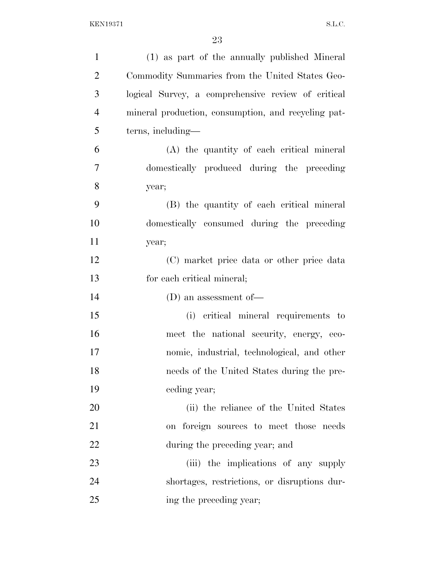| $\mathbf{1}$   | (1) as part of the annually published Mineral       |
|----------------|-----------------------------------------------------|
| $\overline{2}$ | Commodity Summaries from the United States Geo-     |
| 3              | logical Survey, a comprehensive review of critical  |
| $\overline{4}$ | mineral production, consumption, and recycling pat- |
| 5              | terns, including—                                   |
| 6              | (A) the quantity of each critical mineral           |
| 7              | domestically produced during the preceding          |
| 8              | year;                                               |
| 9              | (B) the quantity of each critical mineral           |
| 10             | domestically consumed during the preceding          |
| 11             | year;                                               |
| 12             | (C) market price data or other price data           |
| 13             | for each critical mineral;                          |
| 14             | (D) an assessment of $-$                            |
| 15             | (i) critical mineral requirements to                |
| 16             | meet the national security, energy, eco-            |
| 17             | nomic, industrial, technological, and other         |
| 18             | needs of the United States during the pre-          |
| 19             | ceding year;                                        |
| 20             | (ii) the reliance of the United States              |
| 21             | on foreign sources to meet those needs              |
| 22             | during the preceding year; and                      |
| 23             | (iii) the implications of any supply                |
| 24             | shortages, restrictions, or disruptions dur-        |
| 25             | ing the preceding year;                             |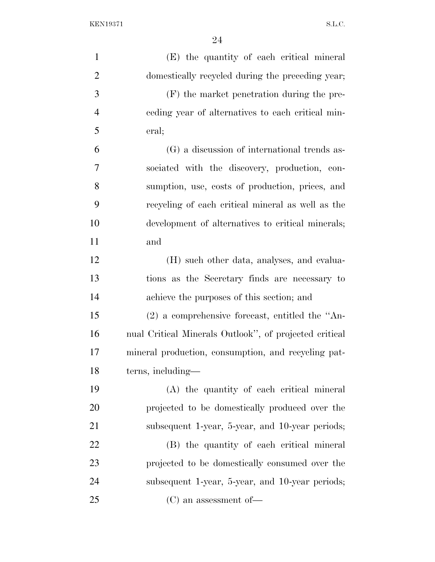| $\mathbf{1}$   | (E) the quantity of each critical mineral              |
|----------------|--------------------------------------------------------|
| $\overline{2}$ | domestically recycled during the preceding year;       |
| 3              | (F) the market penetration during the pre-             |
| $\overline{4}$ | eeding year of alternatives to each critical min-      |
| 5              | eral;                                                  |
| 6              | (G) a discussion of international trends as-           |
| 7              | sociated with the discovery, production, con-          |
| 8              | sumption, use, costs of production, prices, and        |
| 9              | recycling of each critical mineral as well as the      |
| 10             | development of alternatives to critical minerals;      |
| 11             | and                                                    |
| 12             | (H) such other data, analyses, and evalua-             |
| 13             | tions as the Secretary finds are necessary to          |
| 14             | achieve the purposes of this section; and              |
| 15             | $(2)$ a comprehensive forecast, entitled the "An-      |
| 16             | nual Critical Minerals Outlook", of projected critical |
| 17             | mineral production, consumption, and recycling pat-    |
| 18             | terns, including—                                      |
| 19             | (A) the quantity of each critical mineral              |
| 20             | projected to be domestically produced over the         |
| 21             | subsequent 1-year, 5-year, and 10-year periods;        |
| 22             | (B) the quantity of each critical mineral              |
| 23             | projected to be domestically consumed over the         |
| 24             | subsequent 1-year, 5-year, and 10-year periods;        |
| 25             | $(C)$ an assessment of —                               |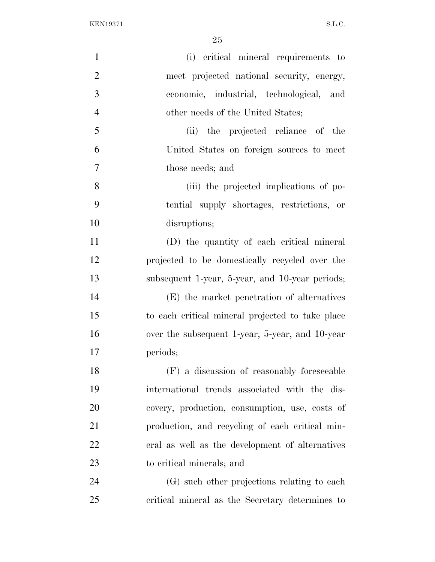| $\mathbf{1}$   | (i) critical mineral requirements to             |
|----------------|--------------------------------------------------|
| $\overline{2}$ | meet projected national security, energy,        |
| 3              | economic, industrial, technological, and         |
| $\overline{4}$ | other needs of the United States;                |
| 5              | (ii) the projected reliance of the               |
| 6              | United States on foreign sources to meet         |
| 7              | those needs; and                                 |
| 8              | (iii) the projected implications of po-          |
| 9              | tential supply shortages, restrictions, or       |
| 10             | disruptions;                                     |
| 11             | (D) the quantity of each critical mineral        |
| 12             | projected to be domestically recycled over the   |
| 13             | subsequent 1-year, 5-year, and 10-year periods;  |
| 14             | (E) the market penetration of alternatives       |
| 15             | to each critical mineral projected to take place |
| 16             | over the subsequent 1-year, 5-year, and 10-year  |
| 17             | periods;                                         |
| 18             | (F) a discussion of reasonably foreseeable       |
| 19             | international trends associated with the dis-    |
| 20             | covery, production, consumption, use, costs of   |
| 21             | production, and recycling of each critical min-  |
| 22             | eral as well as the development of alternatives  |
| 23             | to critical minerals; and                        |
| 24             | (G) such other projections relating to each      |
| 25             | critical mineral as the Secretary determines to  |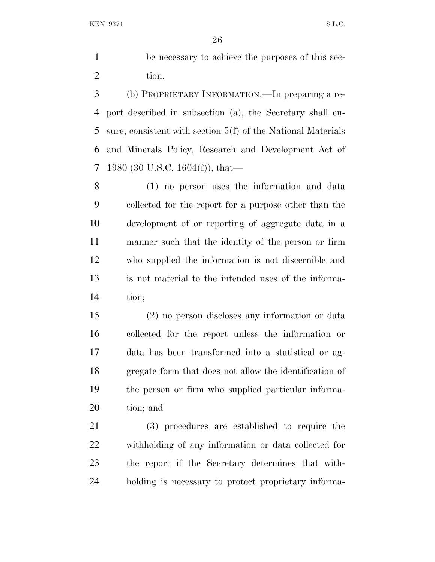be necessary to achieve the purposes of this sec-2 tion.

 (b) PROPRIETARY INFORMATION.—In preparing a re- port described in subsection (a), the Secretary shall en- sure, consistent with section 5(f) of the National Materials and Minerals Policy, Research and Development Act of 1980 (30 U.S.C. 1604(f)), that—

 (1) no person uses the information and data collected for the report for a purpose other than the development of or reporting of aggregate data in a manner such that the identity of the person or firm who supplied the information is not discernible and is not material to the intended uses of the informa-tion;

 (2) no person discloses any information or data collected for the report unless the information or data has been transformed into a statistical or ag- gregate form that does not allow the identification of the person or firm who supplied particular informa-tion; and

 (3) procedures are established to require the withholding of any information or data collected for the report if the Secretary determines that with-holding is necessary to protect proprietary informa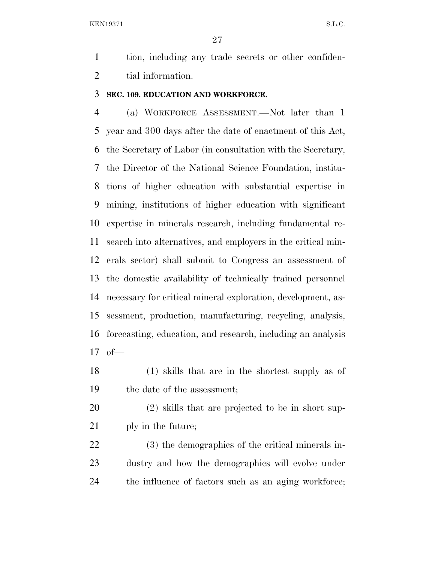tion, including any trade secrets or other confiden-tial information.

#### **SEC. 109. EDUCATION AND WORKFORCE.**

 (a) WORKFORCE ASSESSMENT.—Not later than 1 year and 300 days after the date of enactment of this Act, the Secretary of Labor (in consultation with the Secretary, the Director of the National Science Foundation, institu- tions of higher education with substantial expertise in mining, institutions of higher education with significant expertise in minerals research, including fundamental re- search into alternatives, and employers in the critical min- erals sector) shall submit to Congress an assessment of the domestic availability of technically trained personnel necessary for critical mineral exploration, development, as- sessment, production, manufacturing, recycling, analysis, forecasting, education, and research, including an analysis of—

- (1) skills that are in the shortest supply as of the date of the assessment;
- (2) skills that are projected to be in short sup-ply in the future;

 (3) the demographics of the critical minerals in- dustry and how the demographics will evolve under the influence of factors such as an aging workforce;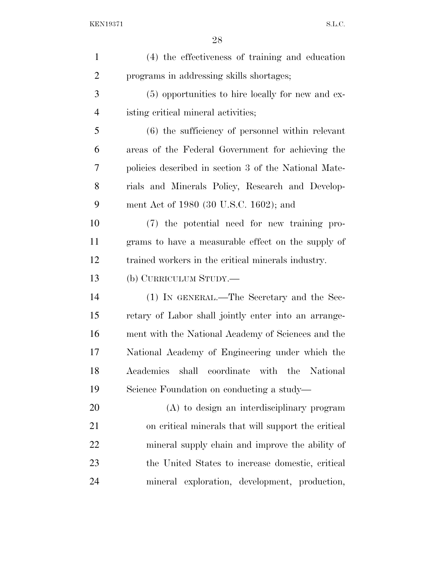| (4) the effectiveness of training and education       |
|-------------------------------------------------------|
| programs in addressing skills shortages;              |
| (5) opportunities to hire locally for new and ex-     |
| isting critical mineral activities;                   |
| $(6)$ the sufficiency of personnel within relevant    |
| areas of the Federal Government for achieving the     |
| policies described in section 3 of the National Mate- |
| rials and Minerals Policy, Research and Develop-      |
| ment Act of 1980 (30 U.S.C. 1602); and                |
| (7) the potential need for new training pro-          |
| grams to have a measurable effect on the supply of    |
| trained workers in the critical minerals industry.    |
| (b) CURRICULUM STUDY.—                                |
| (1) IN GENERAL.—The Secretary and the Sec-            |
| retary of Labor shall jointly enter into an arrange-  |
| ment with the National Academy of Sciences and the    |
| National Academy of Engineering under which the       |
| Academies shall coordinate with the National          |
| Science Foundation on conducting a study—             |
| (A) to design an interdisciplinary program            |
| on critical minerals that will support the critical   |
| mineral supply chain and improve the ability of       |
| the United States to increase domestic, critical      |
| mineral exploration, development, production,         |
|                                                       |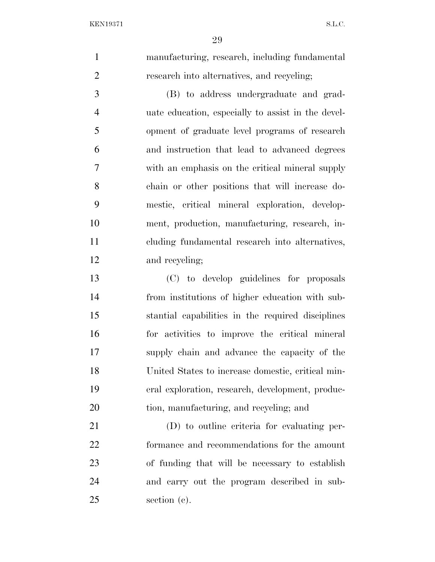manufacturing, research, including fundamental research into alternatives, and recycling; (B) to address undergraduate and grad- uate education, especially to assist in the devel- opment of graduate level programs of research and instruction that lead to advanced degrees with an emphasis on the critical mineral supply chain or other positions that will increase do- mestic, critical mineral exploration, develop- ment, production, manufacturing, research, in- cluding fundamental research into alternatives, and recycling; (C) to develop guidelines for proposals from institutions of higher education with sub- stantial capabilities in the required disciplines for activities to improve the critical mineral supply chain and advance the capacity of the United States to increase domestic, critical min- eral exploration, research, development, produc- tion, manufacturing, and recycling; and (D) to outline criteria for evaluating per- formance and recommendations for the amount of funding that will be necessary to establish and carry out the program described in sub-section (c).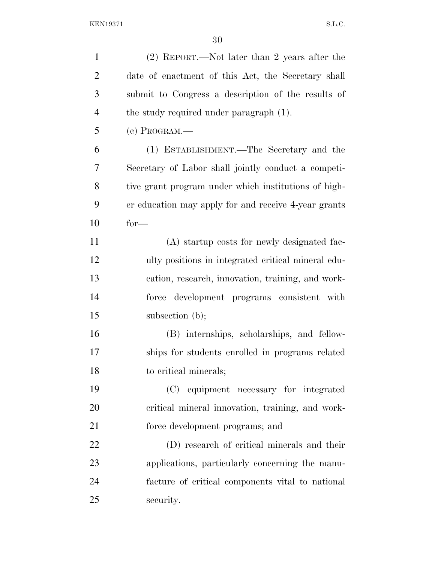| $\mathbf{1}$   | (2) REPORT.—Not later than 2 years after the         |
|----------------|------------------------------------------------------|
| $\overline{2}$ | date of enactment of this Act, the Secretary shall   |
| 3              | submit to Congress a description of the results of   |
| $\overline{4}$ | the study required under paragraph (1).              |
| 5              | $(e)$ Program.—                                      |
| 6              | (1) ESTABLISHMENT.—The Secretary and the             |
| 7              | Secretary of Labor shall jointly conduct a competi-  |
| 8              | tive grant program under which institutions of high- |
| 9              | er education may apply for and receive 4-year grants |
| 10             | $for-$                                               |
| 11             | (A) startup costs for newly designated fac-          |
| 12             | ulty positions in integrated critical mineral edu-   |
| 13             | cation, research, innovation, training, and work-    |
| 14             | force development programs consistent with           |
| 15             | subsection $(b)$ ;                                   |
| 16             | (B) internships, scholarships, and fellow-           |
| 17             | ships for students enrolled in programs related      |
| 18             | to critical minerals;                                |
| 19             | (C) equipment necessary for integrated               |
| 20             | critical mineral innovation, training, and work-     |
| 21             | force development programs; and                      |
| 22             | (D) research of critical minerals and their          |
| 23             | applications, particularly concerning the manu-      |
| 24             | facture of critical components vital to national     |
| 25             | security.                                            |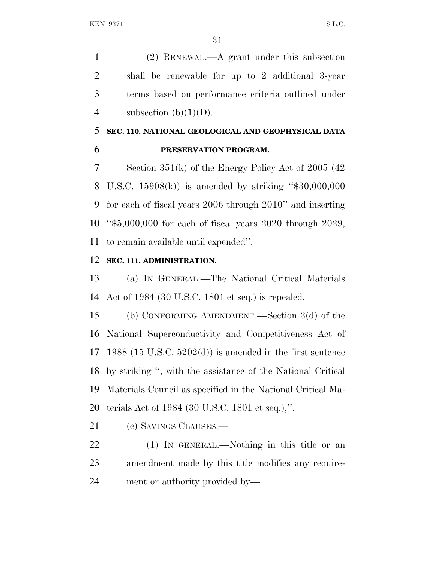(2) RENEWAL.—A grant under this subsection shall be renewable for up to 2 additional 3-year terms based on performance criteria outlined under 4 subsection  $(b)(1)(D)$ .

# **SEC. 110. NATIONAL GEOLOGICAL AND GEOPHYSICAL DATA PRESERVATION PROGRAM.**

 Section 351(k) of the Energy Policy Act of 2005 (42 U.S.C. 15908(k)) is amended by striking ''\$30,000,000 for each of fiscal years 2006 through 2010'' and inserting ''\$5,000,000 for each of fiscal years 2020 through 2029, to remain available until expended''.

# **SEC. 111. ADMINISTRATION.**

 (a) IN GENERAL.—The National Critical Materials Act of 1984 (30 U.S.C. 1801 et seq.) is repealed.

 (b) CONFORMING AMENDMENT.—Section 3(d) of the National Superconductivity and Competitiveness Act of 1988 (15 U.S.C. 5202(d)) is amended in the first sentence by striking '', with the assistance of the National Critical Materials Council as specified in the National Critical Ma-terials Act of 1984 (30 U.S.C. 1801 et seq.),''.

(c) SAVINGS CLAUSES.—

 (1) IN GENERAL.—Nothing in this title or an amendment made by this title modifies any require-ment or authority provided by—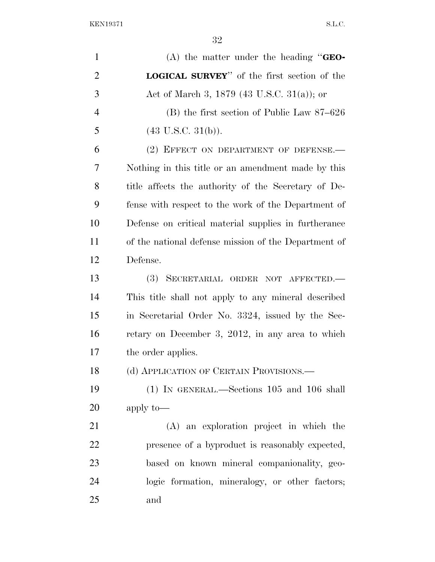| $\mathbf{1}$   | (A) the matter under the heading " $GEO-$            |
|----------------|------------------------------------------------------|
| $\overline{2}$ | <b>LOGICAL SURVEY</b> " of the first section of the  |
| 3              | Act of March 3, 1879 (43 U.S.C. 31(a)); or           |
| $\overline{4}$ | $(B)$ the first section of Public Law 87–626         |
| 5              | $(43 \text{ U.S.C. } 31(b)).$                        |
| 6              | (2) EFFECT ON DEPARTMENT OF DEFENSE.                 |
| 7              | Nothing in this title or an amendment made by this   |
| 8              | title affects the authority of the Secretary of De-  |
| 9              | fense with respect to the work of the Department of  |
| 10             | Defense on critical material supplies in furtherance |
| 11             | of the national defense mission of the Department of |
| 12             | Defense.                                             |
| 13             | <b>(3)</b><br>SECRETARIAL ORDER NOT AFFECTED.        |
| 14             | This title shall not apply to any mineral described  |
| 15             | in Secretarial Order No. 3324, issued by the Sec-    |
| 16             | retary on December 3, 2012, in any area to which     |
| 17             | the order applies.                                   |
| 18             | (d) APPLICATION OF CERTAIN PROVISIONS.—              |
| 19             | $(1)$ IN GENERAL.—Sections 105 and 106 shall         |
| 20             | apply to-                                            |
| 21             | (A) an exploration project in which the              |
| 22             | presence of a byproduct is reasonably expected,      |
| 23             | based on known mineral companionality, geo-          |
| 24             | logic formation, mineralogy, or other factors;       |
| 25             | and                                                  |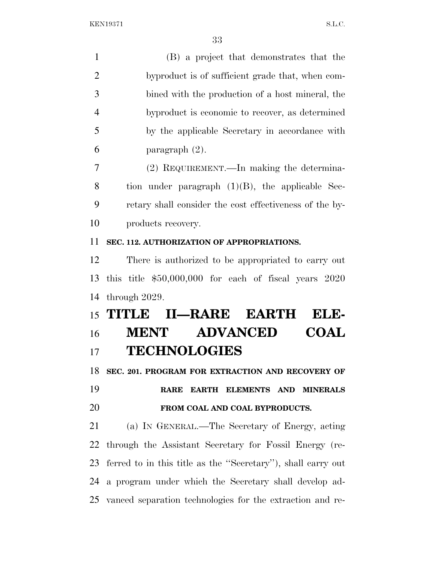| $\mathbf{1}$   | (B) a project that demonstrates that the                     |
|----------------|--------------------------------------------------------------|
| $\overline{2}$ | byproduct is of sufficient grade that, when com-             |
| 3              | bined with the production of a host mineral, the             |
| $\overline{4}$ | byproduct is economic to recover, as determined              |
| 5              | by the applicable Secretary in accordance with               |
| 6              | paragraph $(2)$ .                                            |
| 7              | (2) REQUIREMENT.—In making the determina-                    |
| 8              | tion under paragraph $(1)(B)$ , the applicable Sec-          |
| 9              | retary shall consider the cost effectiveness of the by-      |
| 10             | products recovery.                                           |
| 11             | SEC. 112. AUTHORIZATION OF APPROPRIATIONS.                   |
| 12             | There is authorized to be appropriated to carry out          |
| 13             | this title $$50,000,000$ for each of fiscal years $2020$     |
| 14             | through 2029.                                                |
|                | II-RARE EARTH<br>15 TITLE<br>ELE-                            |
| 16             | <b>ADVANCED</b><br><b>COAL</b><br><b>MENT</b>                |
| 17             | <b>TECHNOLOGIES</b>                                          |
| 18             | SEC. 201. PROGRAM FOR EXTRACTION AND RECOVERY OF             |
| 19             | EARTH ELEMENTS AND<br><b>RARE</b><br><b>MINERALS</b>         |
| <b>20</b>      | FROM COAL AND COAL BYPRODUCTS.                               |
| 21             | (a) IN GENERAL.—The Secretary of Energy, acting              |
| 22             | through the Assistant Secretary for Fossil Energy (re-       |
| 23             | ferred to in this title as the "Secretary"), shall carry out |
| 24             | a program under which the Secretary shall develop ad-        |
|                |                                                              |

vanced separation technologies for the extraction and re-